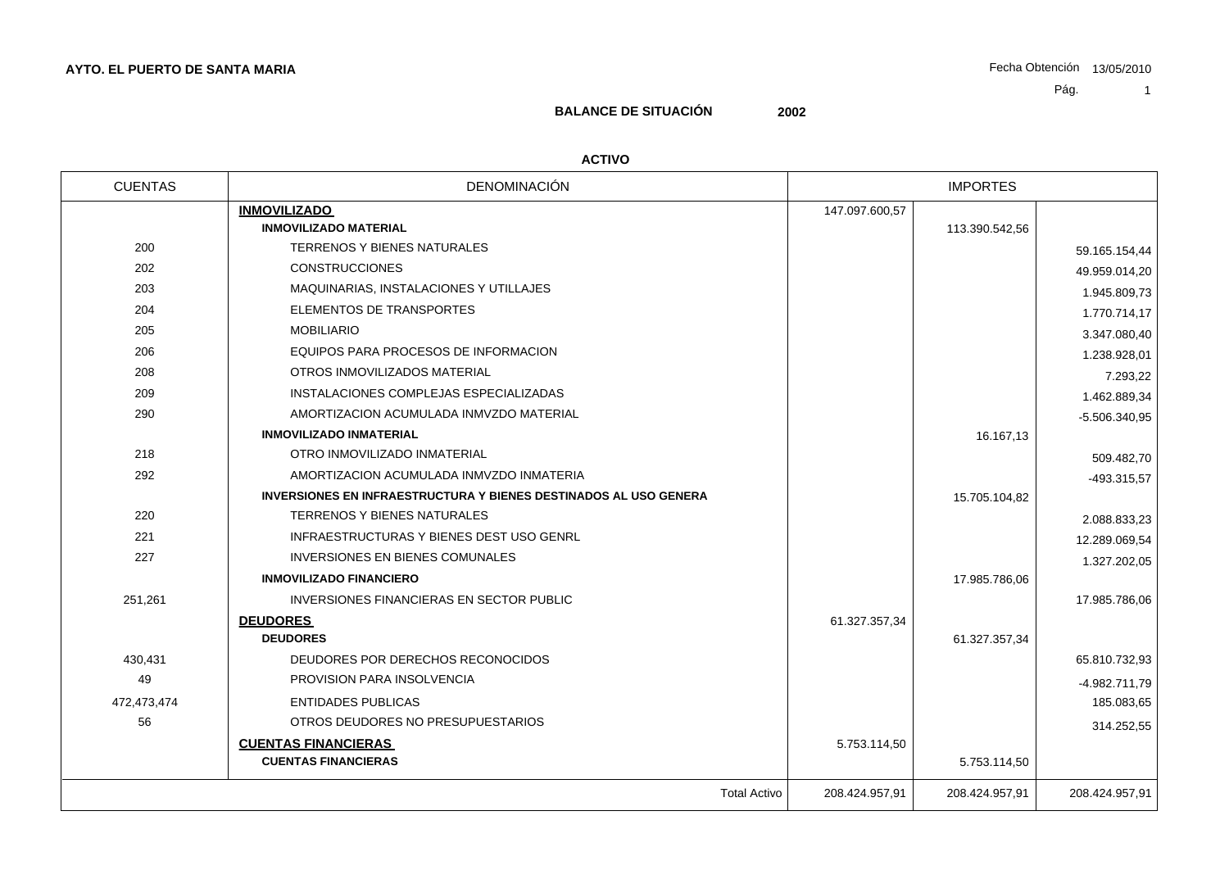# **BALANCE DE SITUACIÓN 2002**

#### **ACTIVO**

| <b>CUENTAS</b> | DENOMINACIÓN                                                            |                | <b>IMPORTES</b> |                 |
|----------------|-------------------------------------------------------------------------|----------------|-----------------|-----------------|
|                | <b>INMOVILIZADO</b>                                                     | 147.097.600,57 |                 |                 |
|                | <b>INMOVILIZADO MATERIAL</b>                                            |                | 113.390.542,56  |                 |
| 200            | TERRENOS Y BIENES NATURALES                                             |                |                 | 59.165.154,44   |
| 202            | <b>CONSTRUCCIONES</b>                                                   |                |                 | 49.959.014,20   |
| 203            | MAQUINARIAS, INSTALACIONES Y UTILLAJES                                  |                |                 | 1.945.809,73    |
| 204            | ELEMENTOS DE TRANSPORTES                                                |                |                 | 1.770.714,17    |
| 205            | <b>MOBILIARIO</b>                                                       |                |                 | 3.347.080,40    |
| 206            | EQUIPOS PARA PROCESOS DE INFORMACION                                    |                |                 | 1.238.928,01    |
| 208            | OTROS INMOVILIZADOS MATERIAL                                            |                |                 | 7.293,22        |
| 209            | INSTALACIONES COMPLEJAS ESPECIALIZADAS                                  |                |                 | 1.462.889,34    |
| 290            | AMORTIZACION ACUMULADA INMVZDO MATERIAL                                 |                |                 | $-5.506.340.95$ |
|                | <b>INMOVILIZADO INMATERIAL</b>                                          |                | 16.167,13       |                 |
| 218            | OTRO INMOVILIZADO INMATERIAL                                            |                |                 | 509.482,70      |
| 292            | AMORTIZACION ACUMULADA INMVZDO INMATERIA                                |                |                 | -493.315,57     |
|                | <b>INVERSIONES EN INFRAESTRUCTURA Y BIENES DESTINADOS AL USO GENERA</b> |                | 15.705.104,82   |                 |
| 220            | TERRENOS Y BIENES NATURALES                                             |                |                 | 2.088.833,23    |
| 221            | <b>INFRAESTRUCTURAS Y BIENES DEST USO GENRL</b>                         |                |                 | 12.289.069,54   |
| 227            | INVERSIONES EN BIENES COMUNALES                                         |                |                 | 1.327.202,05    |
|                | <b>INMOVILIZADO FINANCIERO</b>                                          |                | 17.985.786,06   |                 |
| 251,261        | INVERSIONES FINANCIERAS EN SECTOR PUBLIC                                |                |                 | 17.985.786,06   |
|                | <b>DEUDORES</b>                                                         | 61.327.357,34  |                 |                 |
|                | <b>DEUDORES</b>                                                         |                | 61.327.357,34   |                 |
| 430,431        | DEUDORES POR DERECHOS RECONOCIDOS                                       |                |                 | 65.810.732,93   |
| 49             | PROVISION PARA INSOLVENCIA                                              |                |                 | -4.982.711,79   |
| 472,473,474    | <b>ENTIDADES PUBLICAS</b>                                               |                |                 | 185.083,65      |
| 56             | OTROS DEUDORES NO PRESUPUESTARIOS                                       |                |                 | 314.252,55      |
|                | <b>CUENTAS FINANCIERAS</b>                                              | 5.753.114,50   |                 |                 |
|                | <b>CUENTAS FINANCIERAS</b>                                              |                | 5.753.114,50    |                 |
|                | <b>Total Activo</b>                                                     | 208.424.957,91 | 208.424.957,91  | 208.424.957,91  |
|                |                                                                         |                |                 |                 |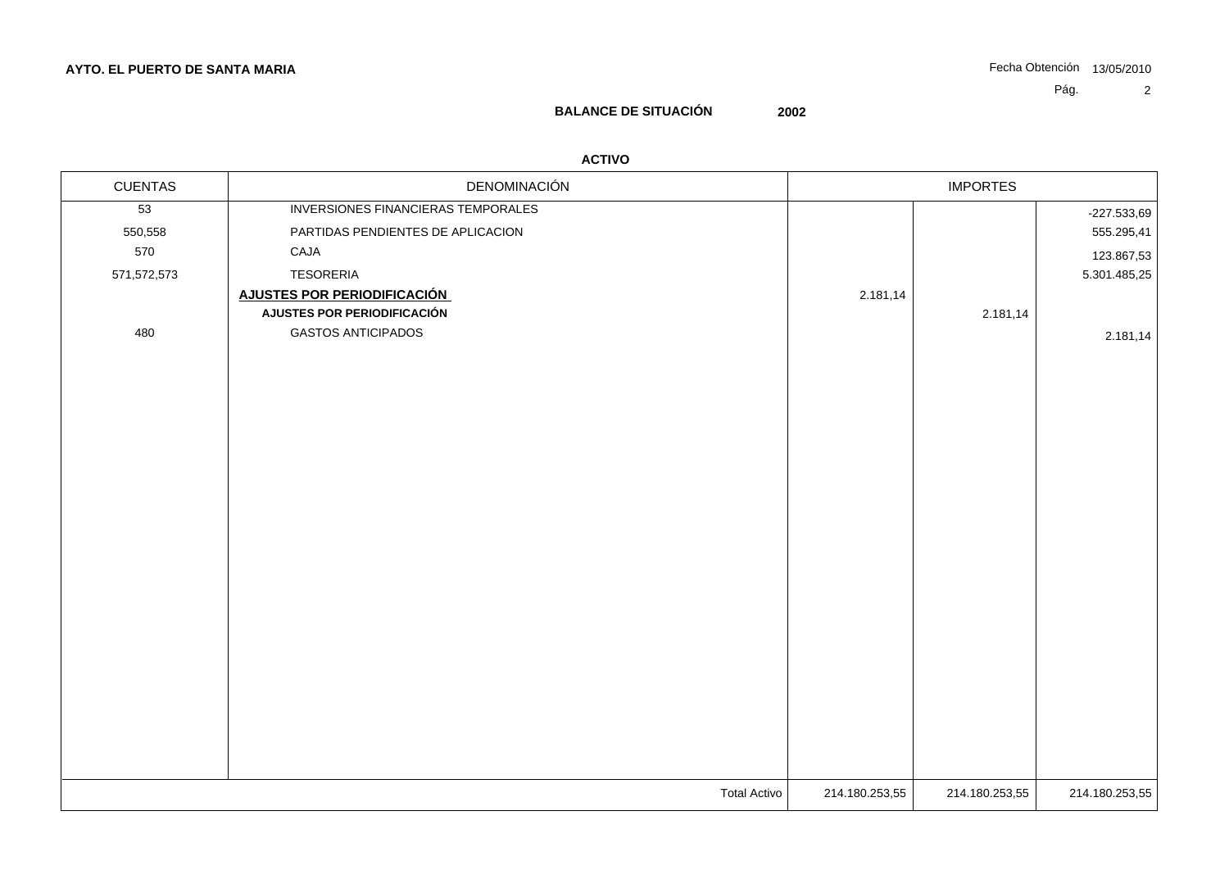# **BALANCE DE SITUACIÓN 2002**

### **ACTIVO**

| <b>CUENTAS</b>  | DENOMINACIÓN                       | <b>IMPORTES</b> |                |                |
|-----------------|------------------------------------|-----------------|----------------|----------------|
| $\overline{53}$ | INVERSIONES FINANCIERAS TEMPORALES |                 |                | $-227.533,69$  |
| 550,558         | PARTIDAS PENDIENTES DE APLICACION  |                 |                | 555.295,41     |
| 570             | CAJA                               |                 |                | 123.867,53     |
| 571,572,573     | <b>TESORERIA</b>                   |                 |                | 5.301.485,25   |
|                 | <b>AJUSTES POR PERIODIFICACIÓN</b> | 2.181,14        |                |                |
|                 | AJUSTES POR PERIODIFICACIÓN        |                 | 2.181,14       |                |
| 480             | <b>GASTOS ANTICIPADOS</b>          |                 |                | 2.181,14       |
|                 |                                    |                 |                |                |
|                 |                                    |                 |                |                |
|                 |                                    |                 |                |                |
|                 |                                    |                 |                |                |
|                 |                                    |                 |                |                |
|                 |                                    |                 |                |                |
|                 |                                    |                 |                |                |
|                 |                                    |                 |                |                |
|                 |                                    |                 |                |                |
|                 |                                    |                 |                |                |
|                 | <b>Total Activo</b>                | 214.180.253,55  | 214.180.253,55 | 214.180.253,55 |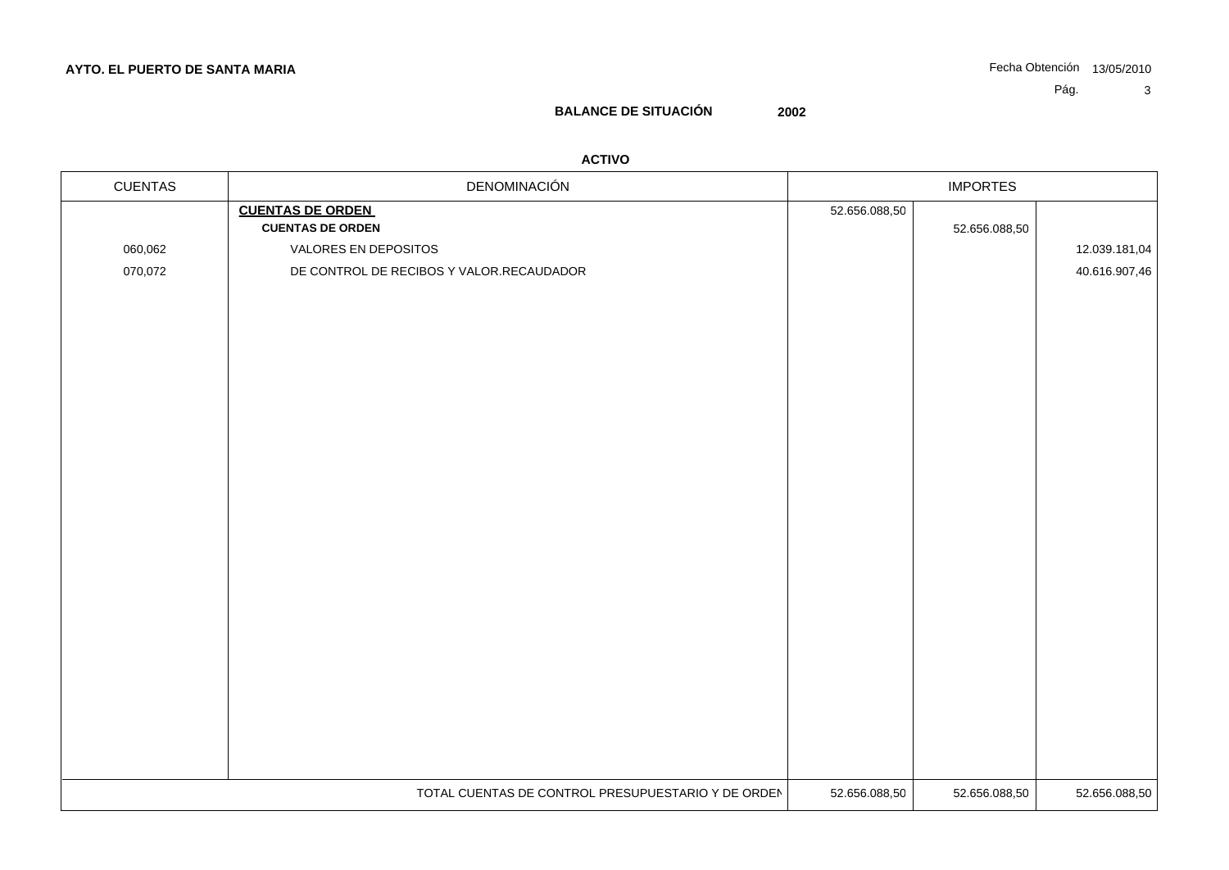# **BALANCE DE SITUACIÓN 2002**

### **ACTIVO**

| <b>CUENTAS</b> | DENOMINACIÓN                                       | <b>IMPORTES</b> |               |               |
|----------------|----------------------------------------------------|-----------------|---------------|---------------|
|                | <b>CUENTAS DE ORDEN</b>                            | 52.656.088,50   |               |               |
|                | <b>CUENTAS DE ORDEN</b>                            |                 | 52.656.088,50 |               |
| 060,062        | VALORES EN DEPOSITOS                               |                 |               | 12.039.181,04 |
| 070,072        | DE CONTROL DE RECIBOS Y VALOR.RECAUDADOR           |                 |               | 40.616.907,46 |
|                |                                                    |                 |               |               |
|                |                                                    |                 |               |               |
|                |                                                    |                 |               |               |
|                |                                                    |                 |               |               |
|                |                                                    |                 |               |               |
|                |                                                    |                 |               |               |
|                |                                                    |                 |               |               |
|                |                                                    |                 |               |               |
|                |                                                    |                 |               |               |
|                |                                                    |                 |               |               |
|                |                                                    |                 |               |               |
|                |                                                    |                 |               |               |
|                |                                                    |                 |               |               |
|                |                                                    |                 |               |               |
|                |                                                    |                 |               |               |
|                |                                                    |                 |               |               |
|                |                                                    |                 |               |               |
|                |                                                    |                 |               |               |
|                |                                                    |                 |               |               |
|                |                                                    |                 |               |               |
|                |                                                    |                 |               |               |
|                |                                                    |                 |               |               |
|                |                                                    |                 |               |               |
|                |                                                    |                 |               |               |
|                | TOTAL CUENTAS DE CONTROL PRESUPUESTARIO Y DE ORDEN | 52.656.088,50   | 52.656.088,50 | 52.656.088,50 |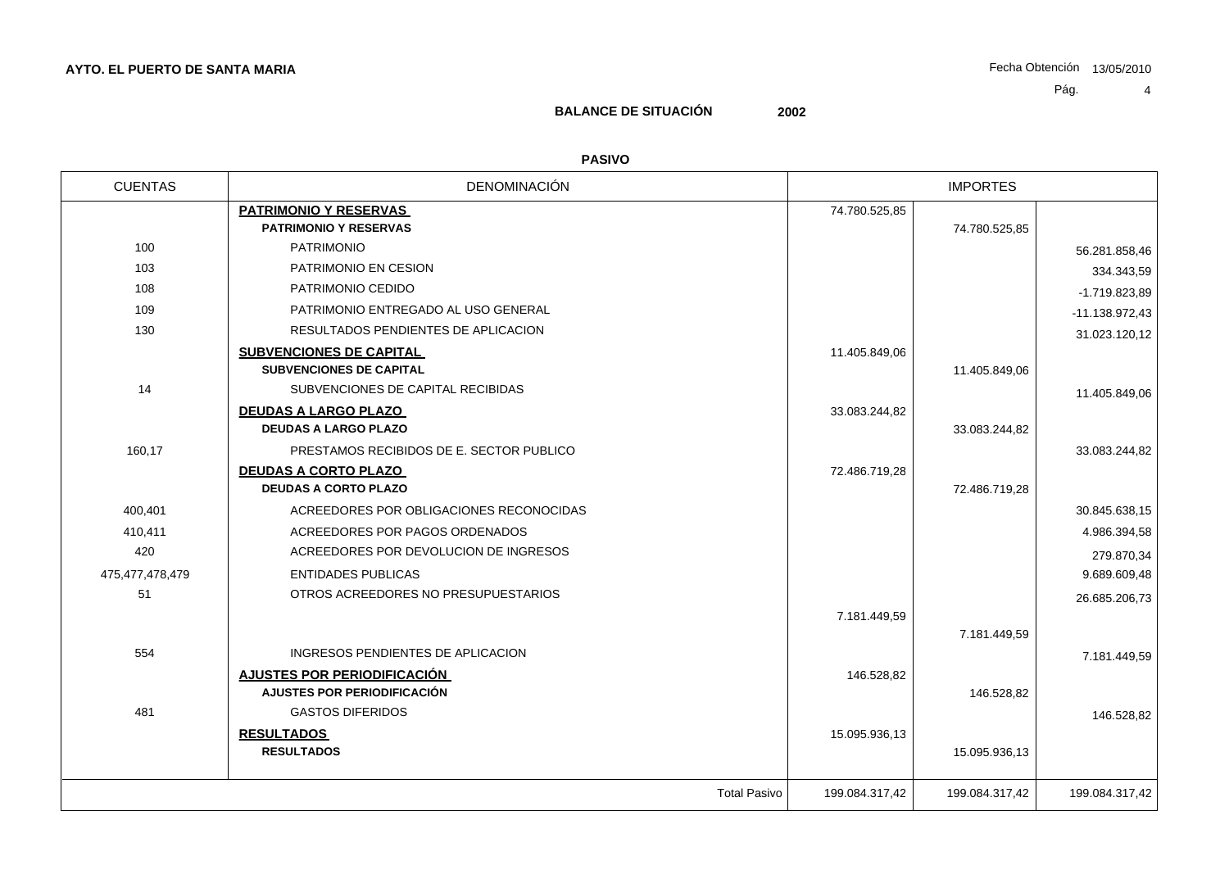## **BALANCE DE SITUACIÓN 2002**

### **PASIVO**

| <b>CUENTAS</b>  | <b>DENOMINACIÓN</b>                      |                | <b>IMPORTES</b> |                  |
|-----------------|------------------------------------------|----------------|-----------------|------------------|
|                 | <b>PATRIMONIO Y RESERVAS</b>             | 74.780.525,85  |                 |                  |
|                 | <b>PATRIMONIO Y RESERVAS</b>             |                | 74.780.525,85   |                  |
| 100             | <b>PATRIMONIO</b>                        |                |                 | 56.281.858,46    |
| 103             | PATRIMONIO EN CESION                     |                |                 | 334.343,59       |
| 108             | PATRIMONIO CEDIDO                        |                |                 | $-1.719.823,89$  |
| 109             | PATRIMONIO ENTREGADO AL USO GENERAL      |                |                 | $-11.138.972,43$ |
| 130             | RESULTADOS PENDIENTES DE APLICACION      |                |                 | 31.023.120,12    |
|                 | <b>SUBVENCIONES DE CAPITAL</b>           | 11.405.849,06  |                 |                  |
|                 | <b>SUBVENCIONES DE CAPITAL</b>           |                | 11.405.849,06   |                  |
| 14              | SUBVENCIONES DE CAPITAL RECIBIDAS        |                |                 | 11.405.849,06    |
|                 | <b>DEUDAS A LARGO PLAZO</b>              | 33.083.244,82  |                 |                  |
|                 | <b>DEUDAS A LARGO PLAZO</b>              |                | 33.083.244,82   |                  |
| 160,17          | PRESTAMOS RECIBIDOS DE E. SECTOR PUBLICO |                |                 | 33.083.244,82    |
|                 | <b>DEUDAS A CORTO PLAZO</b>              | 72.486.719,28  |                 |                  |
|                 | <b>DEUDAS A CORTO PLAZO</b>              |                | 72.486.719,28   |                  |
| 400,401         | ACREEDORES POR OBLIGACIONES RECONOCIDAS  |                |                 | 30.845.638,15    |
| 410,411         | ACREEDORES POR PAGOS ORDENADOS           |                |                 | 4.986.394,58     |
| 420             | ACREEDORES POR DEVOLUCION DE INGRESOS    |                |                 | 279.870,34       |
| 475,477,478,479 | <b>ENTIDADES PUBLICAS</b>                |                |                 | 9.689.609,48     |
| 51              | OTROS ACREEDORES NO PRESUPUESTARIOS      |                |                 | 26.685.206,73    |
|                 |                                          | 7.181.449,59   |                 |                  |
|                 |                                          |                | 7.181.449,59    |                  |
| 554             | INGRESOS PENDIENTES DE APLICACION        |                |                 | 7.181.449,59     |
|                 | <b>AJUSTES POR PERIODIFICACIÓN</b>       | 146.528,82     |                 |                  |
|                 | AJUSTES POR PERIODIFICACIÓN              |                | 146.528,82      |                  |
| 481             | <b>GASTOS DIFERIDOS</b>                  |                |                 | 146.528,82       |
|                 | <b>RESULTADOS</b>                        | 15.095.936,13  |                 |                  |
|                 | <b>RESULTADOS</b>                        |                | 15.095.936,13   |                  |
|                 | <b>Total Pasivo</b>                      | 199.084.317,42 | 199.084.317,42  | 199.084.317,42   |
|                 |                                          |                |                 |                  |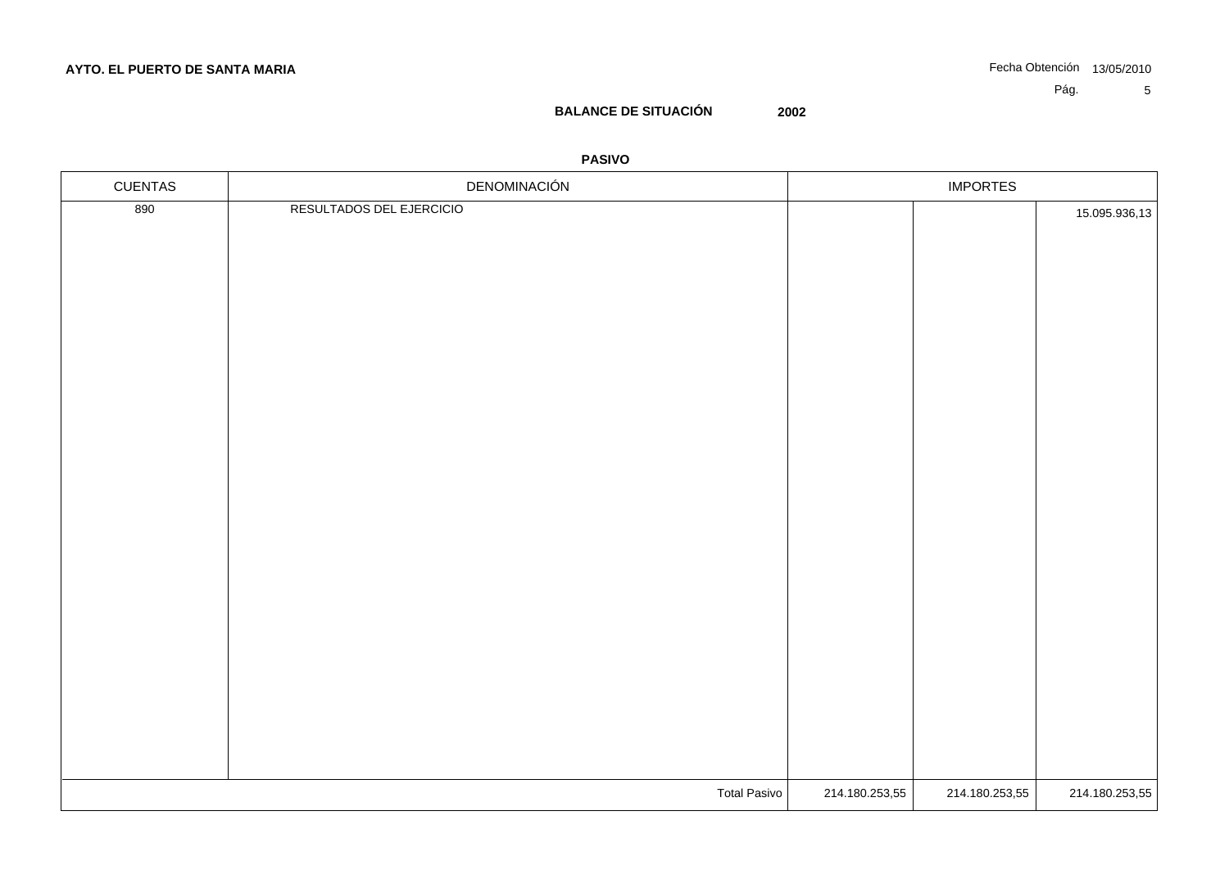## **BALANCE DE SITUACIÓN 2002**

### **PASIVO**

| 890<br>RESULTADOS DEL EJERCICIO<br>15.095.936,13                   | CUENTAS | DENOMINACIÓN | <b>IMPORTES</b> |  |  |
|--------------------------------------------------------------------|---------|--------------|-----------------|--|--|
|                                                                    |         |              |                 |  |  |
|                                                                    |         |              |                 |  |  |
|                                                                    |         |              |                 |  |  |
|                                                                    |         |              |                 |  |  |
|                                                                    |         |              |                 |  |  |
|                                                                    |         |              |                 |  |  |
|                                                                    |         |              |                 |  |  |
|                                                                    |         |              |                 |  |  |
|                                                                    |         |              |                 |  |  |
|                                                                    |         |              |                 |  |  |
|                                                                    |         |              |                 |  |  |
|                                                                    |         |              |                 |  |  |
|                                                                    |         |              |                 |  |  |
|                                                                    |         |              |                 |  |  |
|                                                                    |         |              |                 |  |  |
|                                                                    |         |              |                 |  |  |
|                                                                    |         |              |                 |  |  |
|                                                                    |         |              |                 |  |  |
|                                                                    |         |              |                 |  |  |
|                                                                    |         |              |                 |  |  |
|                                                                    |         |              |                 |  |  |
|                                                                    |         |              |                 |  |  |
|                                                                    |         |              |                 |  |  |
|                                                                    |         |              |                 |  |  |
| Total Pasivo<br>214.180.253,55<br>214.180.253,55<br>214.180.253,55 |         |              |                 |  |  |